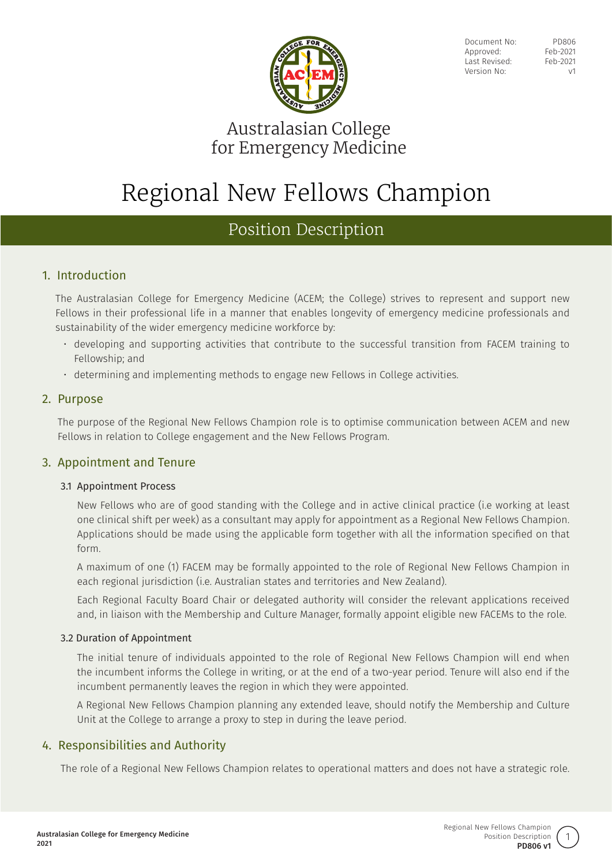

Document No: PD806 Approved: Feb-2021 Last Revised: Feb-2021 Version No: v1

# Australasian College for Emergency Medicine

# Regional New Fellows Champion

# Position Description

# 1. Introduction

The Australasian College for Emergency Medicine (ACEM; the College) strives to represent and support new Fellows in their professional life in a manner that enables longevity of emergency medicine professionals and sustainability of the wider emergency medicine workforce by:

- developing and supporting activities that contribute to the successful transition from FACEM training to Fellowship; and
- determining and implementing methods to engage new Fellows in College activities.

## 2. Purpose

The purpose of the Regional New Fellows Champion role is to optimise communication between ACEM and new Fellows in relation to College engagement and the New Fellows Program.

# 3. Appointment and Tenure

### 3.1 Appointment Process

New Fellows who are of good standing with the College and in active clinical practice (i.e working at least one clinical shift per week) as a consultant may apply for appointment as a Regional New Fellows Champion. Applications should be made using the applicable form together with all the information specified on that form.

A maximum of one (1) FACEM may be formally appointed to the role of Regional New Fellows Champion in each regional jurisdiction (i.e. Australian states and territories and New Zealand).

Each Regional Faculty Board Chair or delegated authority will consider the relevant applications received and, in liaison with the Membership and Culture Manager, formally appoint eligible new FACEMs to the role.

### 3.2 Duration of Appointment

The initial tenure of individuals appointed to the role of Regional New Fellows Champion will end when the incumbent informs the College in writing, or at the end of a two-year period. Tenure will also end if the incumbent permanently leaves the region in which they were appointed.

A Regional New Fellows Champion planning any extended leave, should notify the Membership and Culture Unit at the College to arrange a proxy to step in during the leave period.

# 4. Responsibilities and Authority

The role of a Regional New Fellows Champion relates to operational matters and does not have a strategic role.